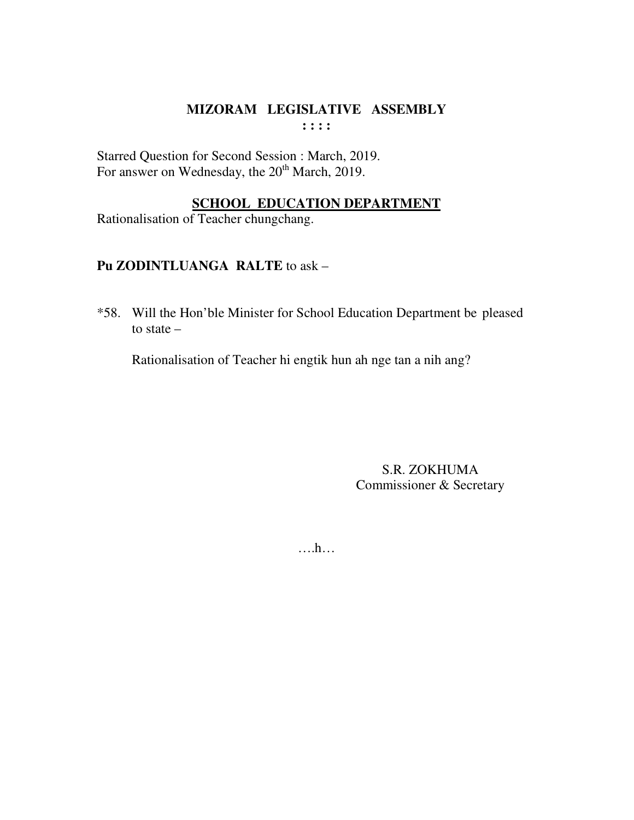Starred Question for Second Session : March, 2019. For answer on Wednesday, the 20<sup>th</sup> March, 2019.

## **SCHOOL EDUCATION DEPARTMENT**

Rationalisation of Teacher chungchang.

# Pu ZODINTLUANGA RALTE to ask -

\*58. Will the Hon'ble Minister for School Education Department be pleased to state  $-$ 

Rationalisation of Teacher hi engtik hun ah nge tan a nih ang?

S.R. ZOKHUMA Commissioner & Secretary

 $\dots h\dots$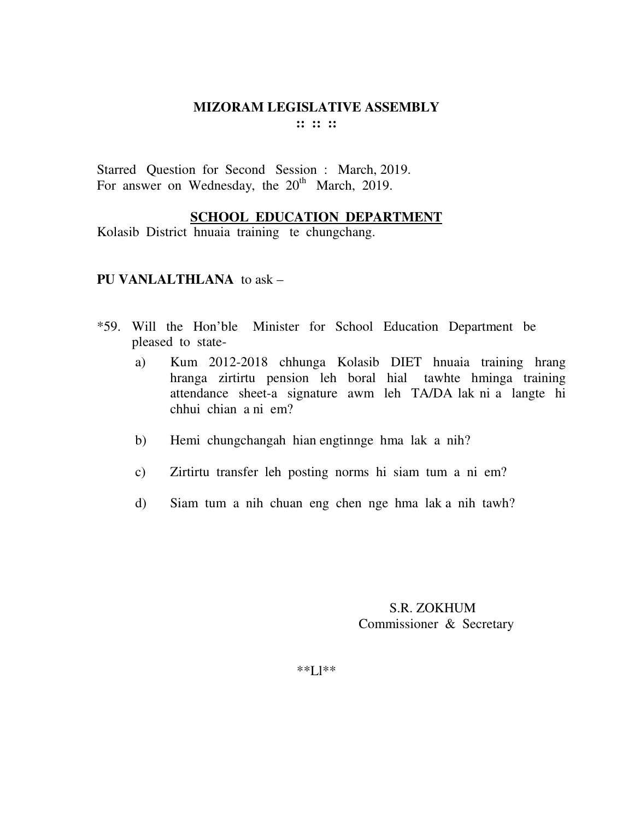Starred Question for Second Session : March, 2019. For answer on Wednesday, the  $20<sup>th</sup>$  March, 2019.

### **SCHOOL EDUCATION DEPARTMENT**

Kolasib District hnuaia training te chungchang.

#### **PU VANLALTHLANA** to ask –

- \*59. Will the Hon'ble Minister for School Education Department be pleased to state
	- a) Kum 2012-2018 chhunga Kolasib DIET hnuaia training hrang hranga zirtirtu pension leh boral hial tawhte hminga training attendance sheet-a signature awm leh TA/DA lak ni a langte hi chhui chian a ni em?
	- b) Hemi chungchangah hian engtinnge hma lak a nih?
	- c) Zirtirtu transfer leh posting norms hi siam tum a ni em?
	- d) Siam tum a nih chuan eng chen nge hma lak a nih tawh?

### S.R. ZOKHUM Commissioner & Secretary

\*\*Ll\*\*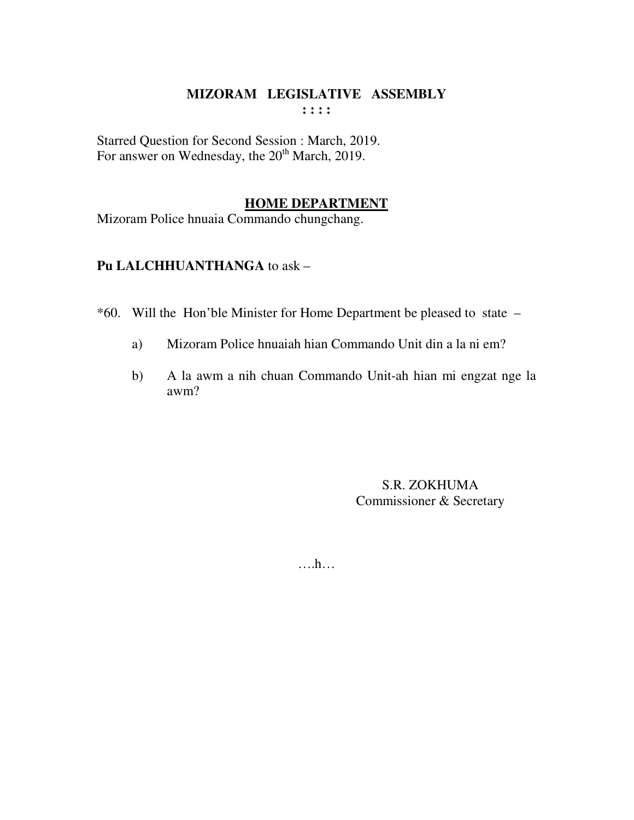Starred Question for Second Session : March, 2019. For answer on Wednesday, the 20<sup>th</sup> March, 2019.

### **HOME DEPARTMENT**

Mizoram Police hnuaia Commando chungchang.

# **Pu LALCHHUANTHANGA** to ask –

\*60. Will the Hon'ble Minister for Home Department be pleased to state –

- a) Mizoram Police hnuaiah hian Commando Unit din a la ni em?
- b) A la awm a nih chuan Commando Unit-ah hian mi engzat nge la awm?

S.R. ZOKHUMA Commissioner & Secretary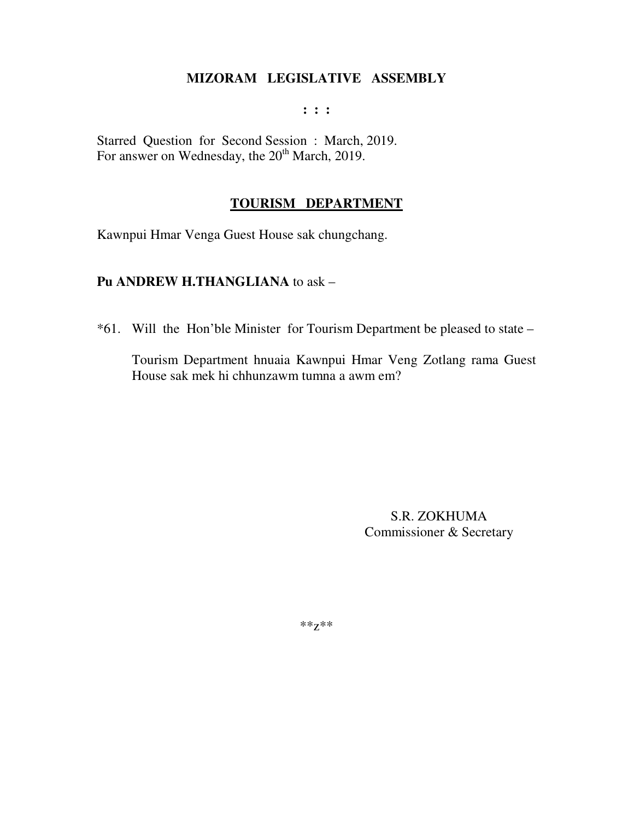$\mathbf{1}$  :  $\mathbf{1}$ 

Starred Question for Second Session: March, 2019. For answer on Wednesday, the 20<sup>th</sup> March, 2019.

### **TOURISM DEPARTMENT**

Kawnpui Hmar Venga Guest House sak chungchang.

### Pu ANDREW H.THANGLIANA to ask -

\*61. Will the Hon'ble Minister for Tourism Department be pleased to state –

Tourism Department hnuaia Kawnpui Hmar Veng Zotlang rama Guest House sak mek hi chhunzawm tumna a awm em?

> S.R. ZOKHUMA Commissioner & Secretary

\*\* $Z^{**}$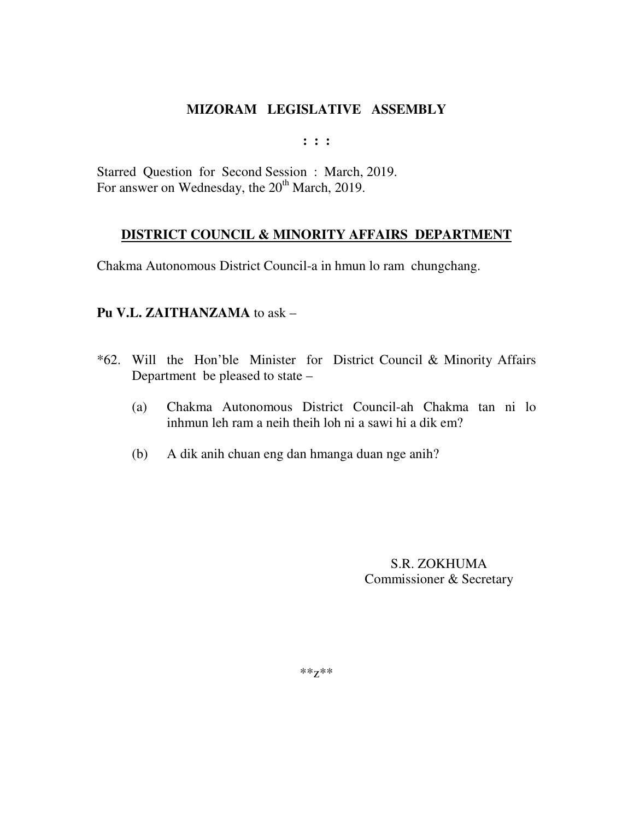**: : :** 

Starred Question for Second Session : March, 2019. For answer on Wednesday, the 20<sup>th</sup> March, 2019.

## **DISTRICT COUNCIL & MINORITY AFFAIRS DEPARTMENT**

Chakma Autonomous District Council-a in hmun lo ram chungchang.

## **Pu V.L. ZAITHANZAMA** to ask –

- \*62. Will the Hon'ble Minister for District Council & Minority Affairs Department be pleased to state –
	- (a) Chakma Autonomous District Council-ah Chakma tan ni lo inhmun leh ram a neih theih loh ni a sawi hi a dik em?
	- (b) A dik anih chuan eng dan hmanga duan nge anih?

S.R. ZOKHUMA Commissioner & Secretary

\*\*z\*\*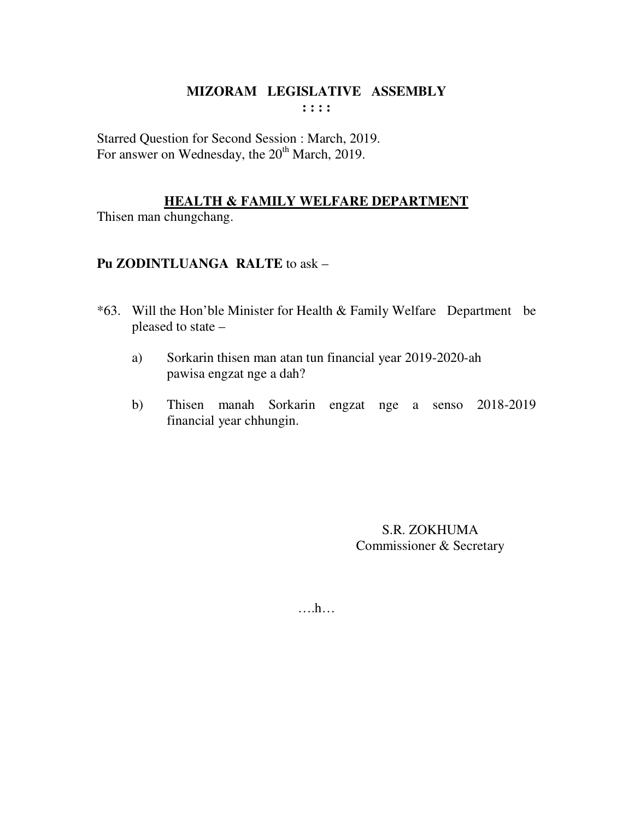Starred Question for Second Session : March, 2019. For answer on Wednesday, the 20<sup>th</sup> March, 2019.

## **HEALTH & FAMILY WELFARE DEPARTMENT**

Thisen man chungchang.

## Pu ZODINTLUANGA RALTE to ask -

- \*63. Will the Hon'ble Minister for Health & Family Welfare Department be pleased to state -
	- Sorkarin thisen man atan tun financial year 2019-2020-ah a) pawisa engzat nge a dah?
	- $b)$ Thisen manah Sorkarin engzat nge a senso 2018-2019 financial year chhungin.

S.R. ZOKHUMA Commissioner & Secretary

 $\dots$ ...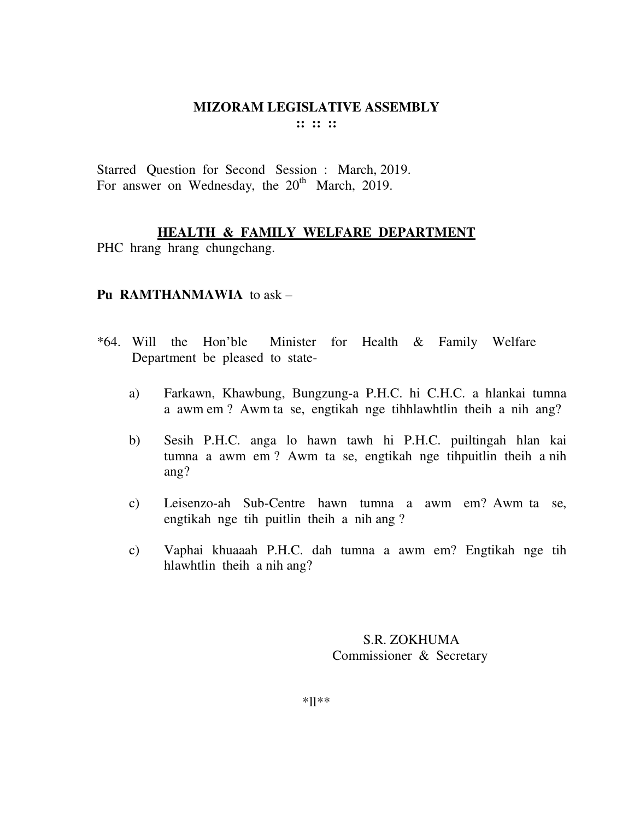Starred Question for Second Session : March, 2019. For answer on Wednesday, the  $20<sup>th</sup>$  March, 2019.

## **HEALTH & FAMILY WELFARE DEPARTMENT**

PHC hrang hrang chungchang.

### **Pu RAMTHANMAWIA** to ask –

- \*64. Will the Hon'ble Minister for Health & Family Welfare Department be pleased to state
	- a) Farkawn, Khawbung, Bungzung-a P.H.C. hi C.H.C. a hlankai tumna a awm em ? Awm ta se, engtikah nge tihhlawhtlin theih a nih ang?
	- b) Sesih P.H.C. anga lo hawn tawh hi P.H.C. puiltingah hlan kai tumna a awm em ? Awm ta se, engtikah nge tihpuitlin theih a nih ang?
	- c) Leisenzo-ah Sub-Centre hawn tumna a awm em? Awm ta se, engtikah nge tih puitlin theih a nih ang ?
	- c) Vaphai khuaaah P.H.C. dah tumna a awm em? Engtikah nge tih hlawhtlin theih a nih ang?

 S.R. ZOKHUMA Commissioner & Secretary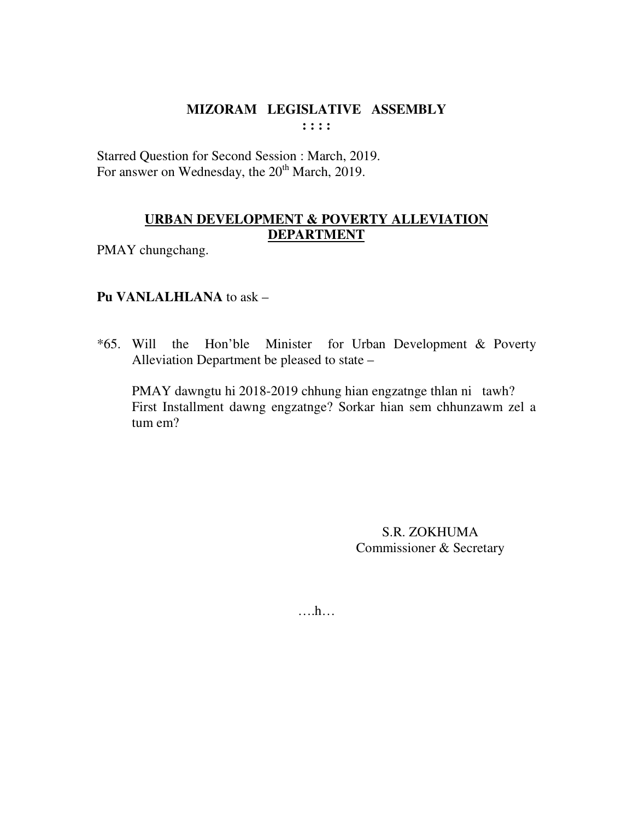Starred Question for Second Session : March, 2019. For answer on Wednesday, the 20<sup>th</sup> March, 2019.

## **URBAN DEVELOPMENT & POVERTY ALLEVIATION DEPARTMENT**

PMAY chungchang.

## **Pu VANLALHLANA** to ask –

\*65. Will the Hon'ble Minister for Urban Development & Poverty Alleviation Department be pleased to state –

 PMAY dawngtu hi 2018-2019 chhung hian engzatnge thlan ni tawh? First Installment dawng engzatnge? Sorkar hian sem chhunzawm zel a tum em?

> S.R. ZOKHUMA Commissioner & Secretary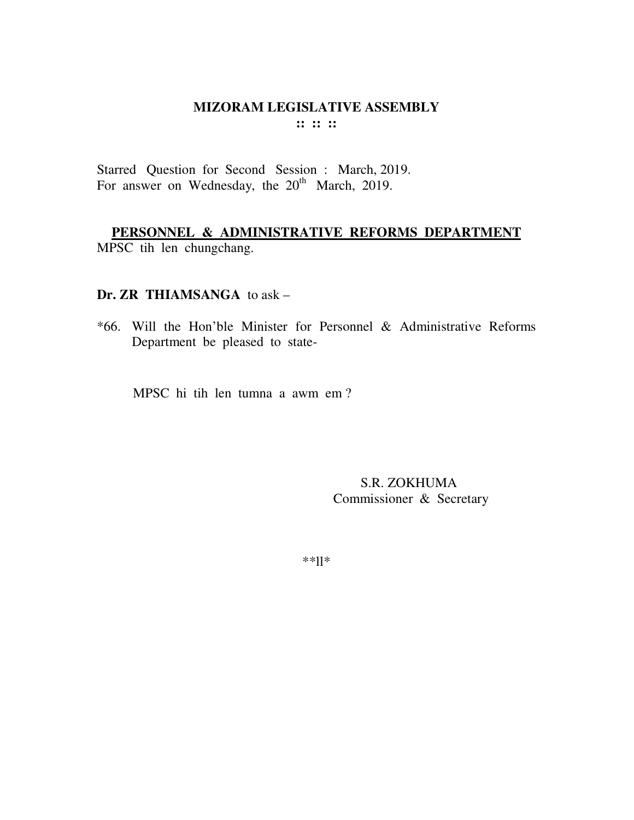Starred Question for Second Session : March, 2019. For answer on Wednesday, the 20<sup>th</sup> March, 2019.

**PERSONNEL & ADMINISTRATIVE REFORMS DEPARTMENT** MPSC tih len chungchang.

### **Dr. ZR THIAMSANGA** to ask –

\*66. Will the Hon'ble Minister for Personnel & Administrative Reforms Department be pleased to state-

MPSC hi tih len tumna a awm em ?

 S.R. ZOKHUMA Commissioner & Secretary

\*\*ll\*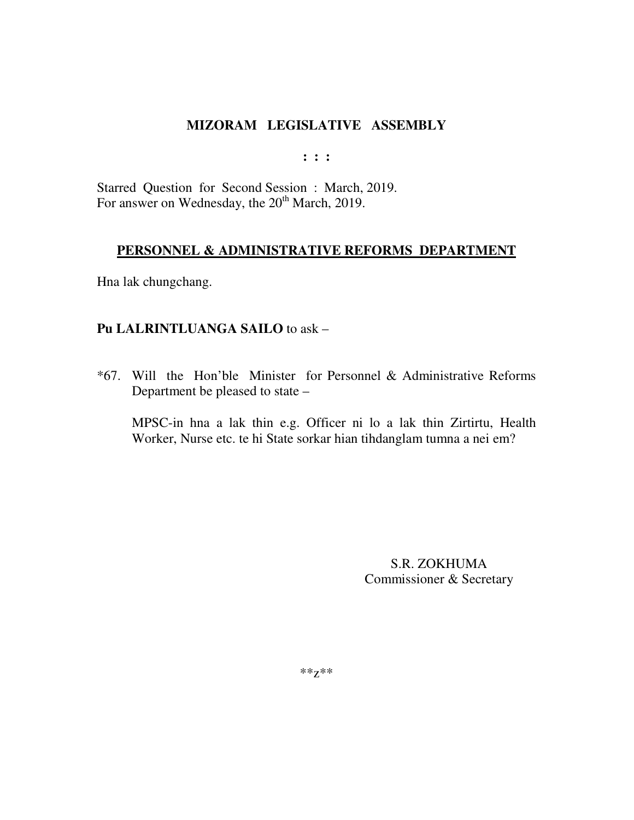$: : :$ 

Starred Question for Second Session: March, 2019. For answer on Wednesday, the 20<sup>th</sup> March, 2019.

### PERSONNEL & ADMINISTRATIVE REFORMS DEPARTMENT

Hna lak chungchang.

### Pu LALRINTLUANGA SAILO to ask -

\*67. Will the Hon'ble Minister for Personnel & Administrative Reforms Department be pleased to state -

MPSC-in hna a lak thin e.g. Officer ni lo a lak thin Zirtirtu, Health Worker, Nurse etc. te hi State sorkar hian tihdanglam tumna a nei em?

> S.R. ZOKHUMA Commissioner & Secretary

 $***Z***$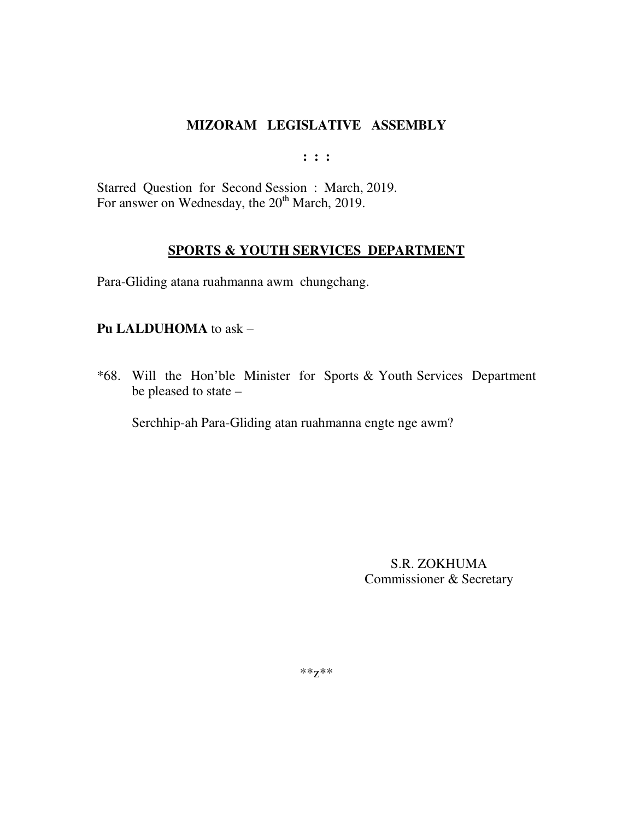$: : :$ 

Starred Question for Second Session : March, 2019. For answer on Wednesday, the 20<sup>th</sup> March, 2019.

### **SPORTS & YOUTH SERVICES DEPARTMENT**

Para-Gliding atana ruahmanna awm chungchang.

### Pu LALDUHOMA to ask -

\*68. Will the Hon'ble Minister for Sports & Youth Services Department be pleased to state -

Serchhip-ah Para-Gliding atan ruahmanna engte nge awm?

S.R. ZOKHUMA Commissioner & Secretary

 $***Z***$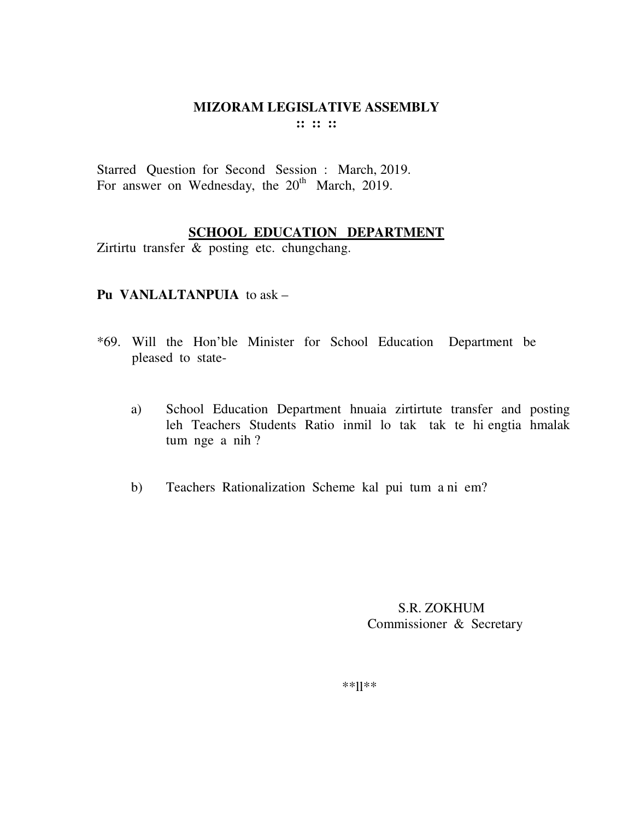#### **MIZORAM LEGISLATIVE ASSEMBLY**  $\mathbf{11} \mathbf{11} \mathbf{11}$

Starred Question for Second Session : March, 2019. For answer on Wednesday, the 20<sup>th</sup> March, 2019.

## **SCHOOL EDUCATION DEPARTMENT**

Zirtirtu transfer & posting etc. chungchang.

## Pu VANLALTANPUIA to ask -

- \*69. Will the Hon'ble Minister for School Education Department be pleased to state-
	- School Education Department hnuaia zirtirtute transfer and posting a) leh Teachers Students Ratio inmil lo tak tak te hi engtia hmalak tum nge a nih?
	- Teachers Rationalization Scheme kal pui tum a ni em?  $b)$

S.R. ZOKHUM Commissioner & Secretary

 $***$ ]]\*\*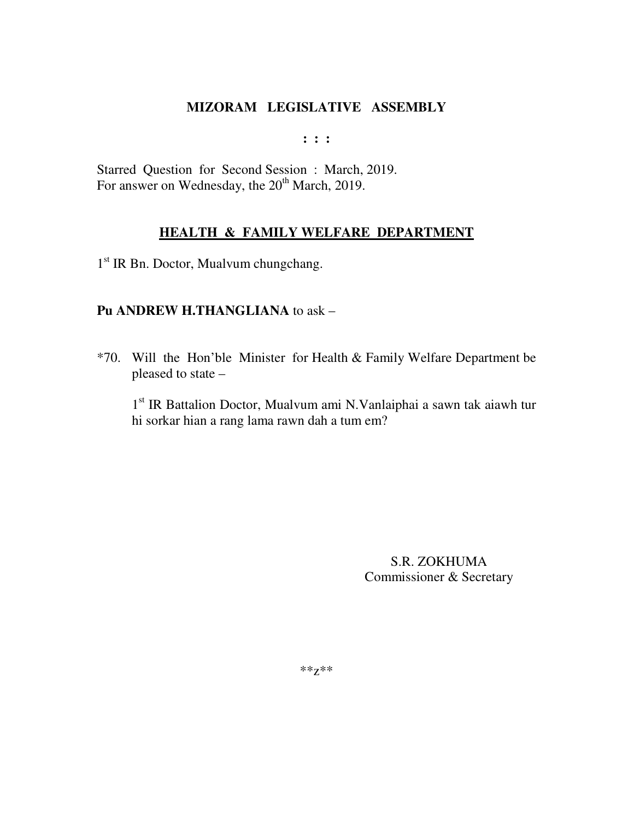**: : :** 

Starred Question for Second Session : March, 2019. For answer on Wednesday, the 20<sup>th</sup> March, 2019.

## **HEALTH & FAMILY WELFARE DEPARTMENT**

1 st IR Bn. Doctor, Mualvum chungchang.

### **Pu ANDREW H.THANGLIANA** to ask –

\*70. Will the Hon'ble Minister for Health & Family Welfare Department be pleased to state –

1 st IR Battalion Doctor, Mualvum ami N.Vanlaiphai a sawn tak aiawh tur hi sorkar hian a rang lama rawn dah a tum em?

> S.R. ZOKHUMA Commissioner & Secretary

\*\*z\*\*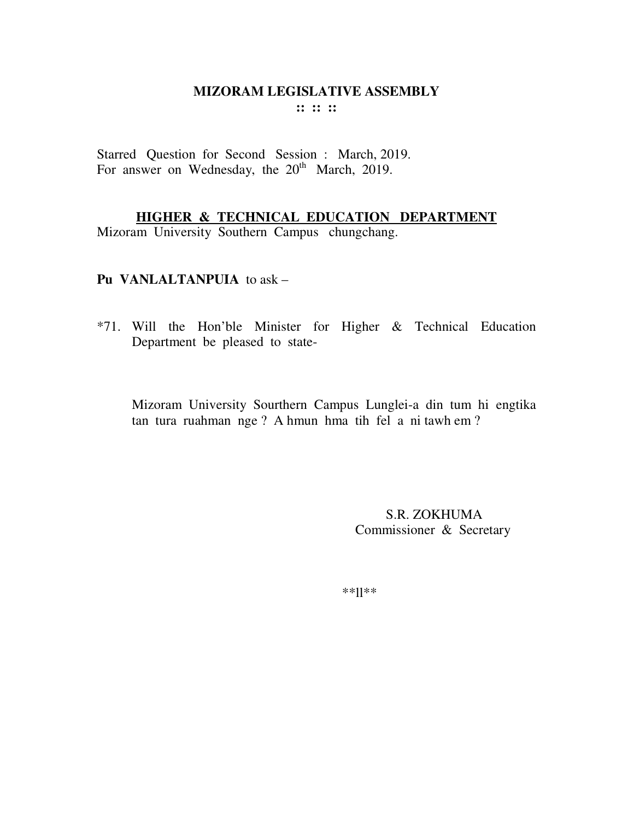Starred Question for Second Session : March, 2019. For answer on Wednesday, the  $20<sup>th</sup>$  March, 2019.

## **HIGHER & TECHNICAL EDUCATION DEPARTMENT**

Mizoram University Southern Campus chungchang.

### **Pu VANLALTANPUIA** to ask –

\*71. Will the Hon'ble Minister for Higher & Technical Education Department be pleased to state-

Mizoram University Sourthern Campus Lunglei-a din tum hi engtika tan tura ruahman nge ? A hmun hma tih fel a ni tawh em ?

> S.R. ZOKHUMA Commissioner & Secretary

\*\*ll\*\*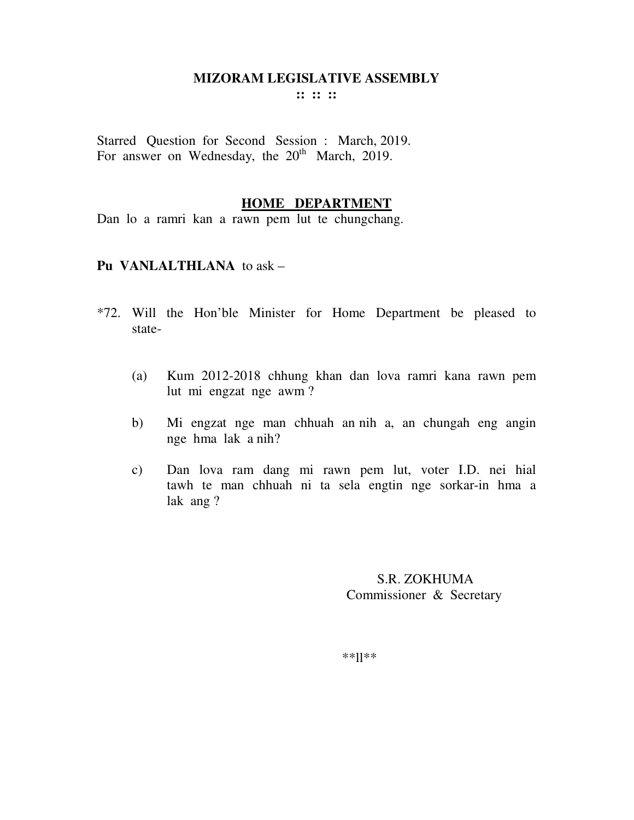**:: :: ::** 

Starred Question for Second Session : March, 2019. For answer on Wednesday, the  $20<sup>th</sup>$  March, 2019.

#### **HOME DEPARTMENT**

Dan lo a ramri kan a rawn pem lut te chungchang.

#### **Pu VANLALTHLANA** to ask –

- \*72. Will the Hon'ble Minister for Home Department be pleased to state-
	- (a) Kum 2012-2018 chhung khan dan lova ramri kana rawn pem lut mi engzat nge awm ?
	- b) Mi engzat nge man chhuah an nih a, an chungah eng angin nge hma lak a nih?
	- c) Dan lova ram dang mi rawn pem lut, voter I.D. nei hial tawh te man chhuah ni ta sela engtin nge sorkar-in hma a lak ang ?

 S.R. ZOKHUMA Commissioner & Secretary

\*\*ll\*\*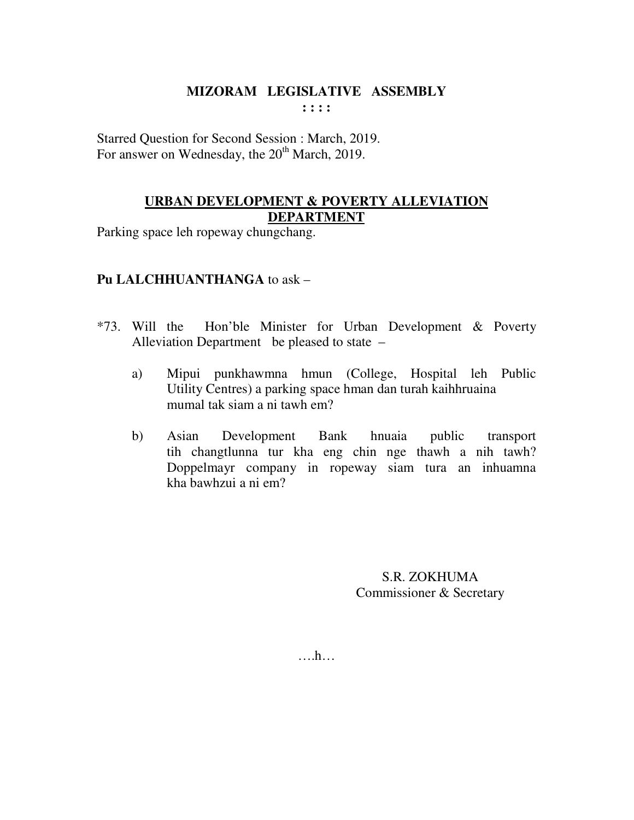Starred Question for Second Session : March, 2019. For answer on Wednesday, the 20<sup>th</sup> March, 2019.

### **URBAN DEVELOPMENT & POVERTY ALLEVIATION DEPARTMENT**

Parking space leh ropeway chungchang.

## **Pu LALCHHUANTHANGA** to ask –

- \*73. Will the Hon'ble Minister for Urban Development & Poverty Alleviation Department be pleased to state –
	- a) Mipui punkhawmna hmun (College, Hospital leh Public Utility Centres) a parking space hman dan turah kaihhruaina mumal tak siam a ni tawh em?
	- b) Asian Development Bank hnuaia public transport tih changtlunna tur kha eng chin nge thawh a nih tawh? Doppelmayr company in ropeway siam tura an inhuamna kha bawhzui a ni em?

S.R. ZOKHUMA Commissioner & Secretary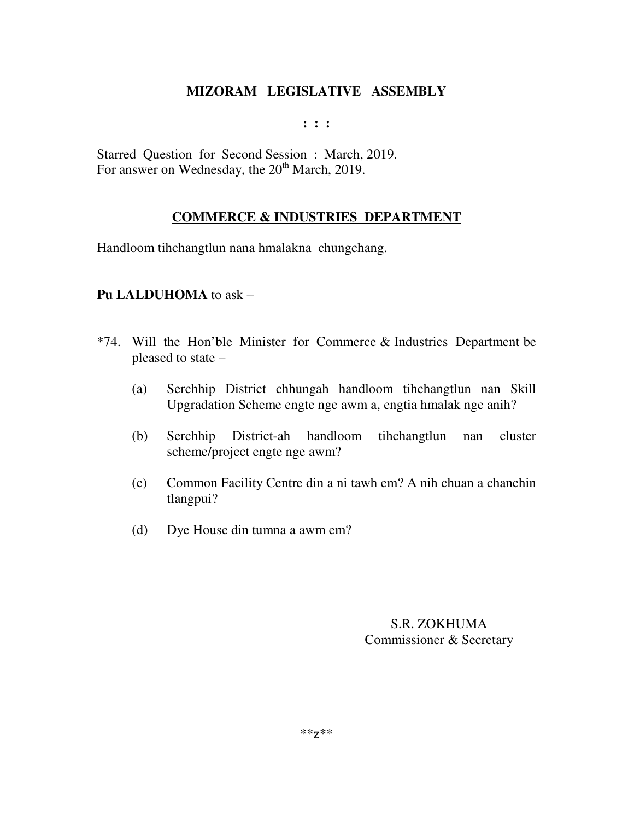**: : :** 

Starred Question for Second Session : March, 2019. For answer on Wednesday, the  $20<sup>th</sup>$  March, 2019.

## **COMMERCE & INDUSTRIES DEPARTMENT**

Handloom tihchangtlun nana hmalakna chungchang.

## **Pu LALDUHOMA** to ask –

- \*74. Will the Hon'ble Minister for Commerce & Industries Department be pleased to state –
	- (a) Serchhip District chhungah handloom tihchangtlun nan Skill Upgradation Scheme engte nge awm a, engtia hmalak nge anih?
	- (b) Serchhip District-ah handloom tihchangtlun nan cluster scheme/project engte nge awm?
	- (c) Common Facility Centre din a ni tawh em? A nih chuan a chanchin tlangpui?
	- (d) Dye House din tumna a awm em?

S.R. ZOKHUMA Commissioner & Secretary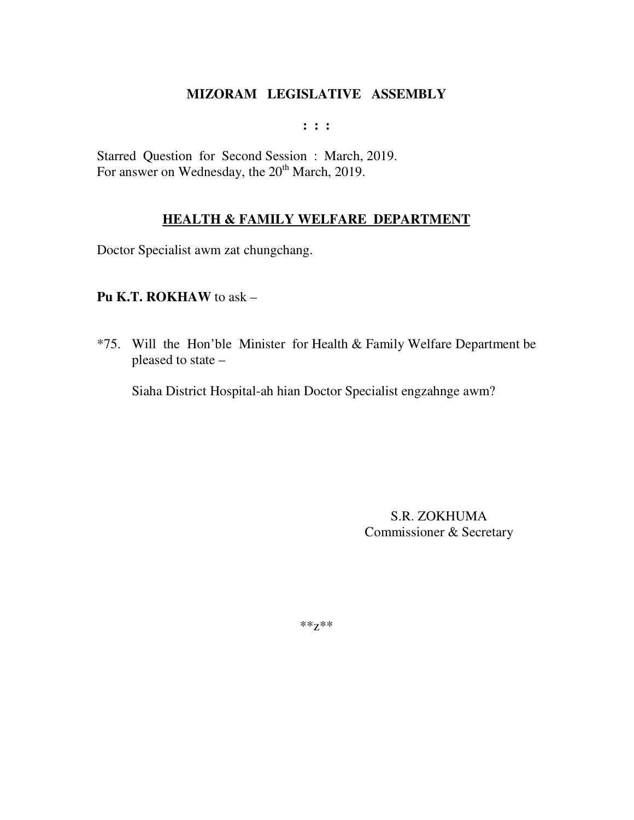$: : :$ 

Starred Question for Second Session: March, 2019. For answer on Wednesday, the 20<sup>th</sup> March, 2019.

## **HEALTH & FAMILY WELFARE DEPARTMENT**

Doctor Specialist awm zat chungchang.

## Pu K.T. ROKHAW to ask  $-$

\*75. Will the Hon'ble Minister for Health & Family Welfare Department be pleased to state -

Siaha District Hospital-ah hian Doctor Specialist engzahnge awm?

S.R. ZOKHUMA Commissioner & Secretary

\*\* $Z^{**}$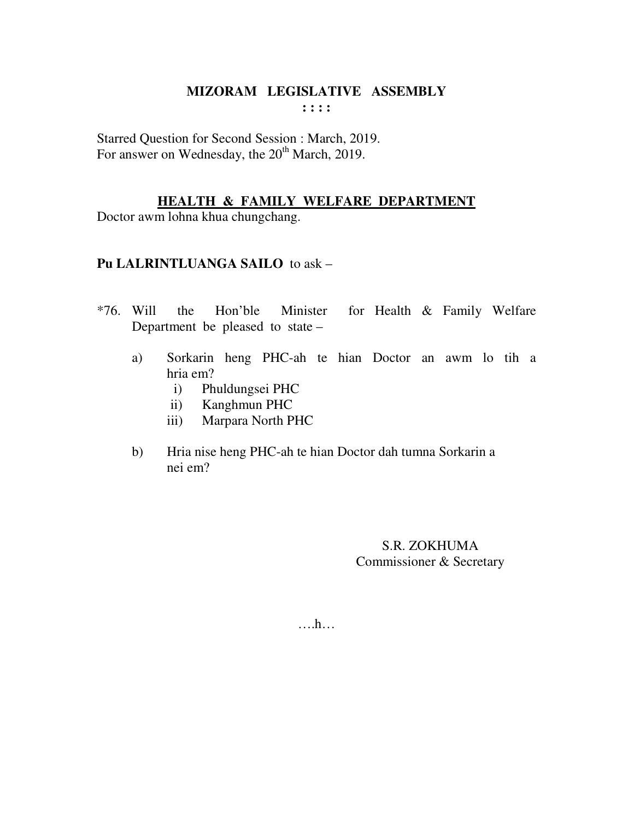Starred Question for Second Session : March, 2019. For answer on Wednesday, the 20<sup>th</sup> March, 2019.

## **HEALTH & FAMILY WELFARE DEPARTMENT**

Doctor awm lohna khua chungchang.

## **Pu LALRINTLUANGA SAILO** to ask –

- \*76. Will the Hon'ble Minister for Health & Family Welfare Department be pleased to state –
	- a) Sorkarin heng PHC-ah te hian Doctor an awm lo tih a hria em?
		- i) Phuldungsei PHC
		- ii) Kanghmun PHC
		- iii) Marpara North PHC
	- b) Hria nise heng PHC-ah te hian Doctor dah tumna Sorkarin a nei em?

S.R. ZOKHUMA Commissioner & Secretary